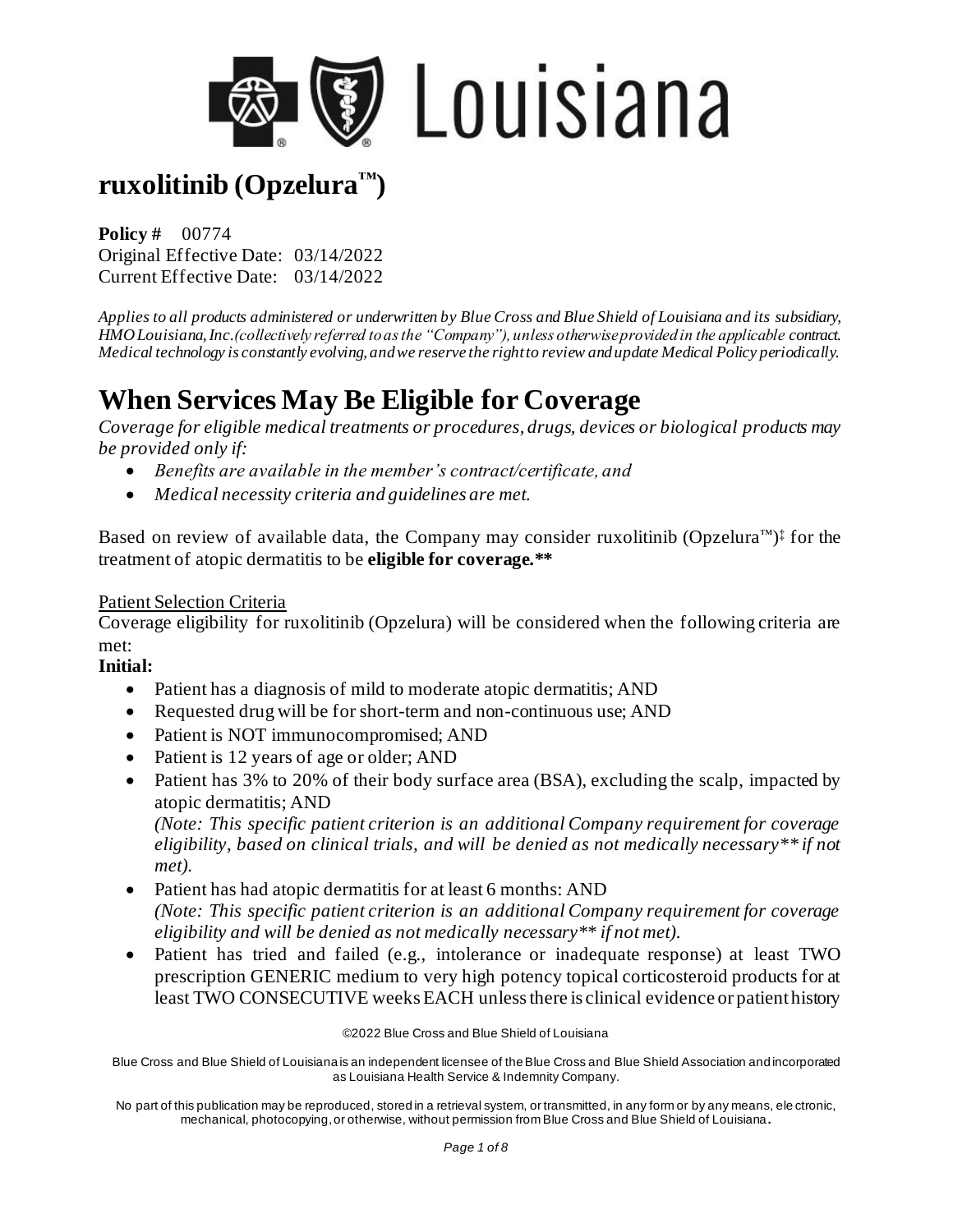

**Policy #** 00774 Original Effective Date: 03/14/2022 Current Effective Date: 03/14/2022

*Applies to all products administered or underwritten by Blue Cross and Blue Shield of Louisiana and its subsidiary, HMO Louisiana, Inc.(collectively referred to as the "Company"), unless otherwise provided in the applicable contract. Medical technology is constantly evolving, and we reserve the right to review and update Medical Policy periodically.*

# **When Services May Be Eligible for Coverage**

*Coverage for eligible medical treatments or procedures, drugs, devices or biological products may be provided only if:*

- *Benefits are available in the member's contract/certificate, and*
- *Medical necessity criteria and guidelines are met.*

Based on review of available data, the Company may consider ruxolitinib (Opzelura<sup>™)‡</sup> for the treatment of atopic dermatitis to be **eligible for coverage.\*\***

#### Patient Selection Criteria

Coverage eligibility for ruxolitinib (Opzelura) will be considered when the following criteria are met:

#### **Initial:**

- Patient has a diagnosis of mild to moderate atopic dermatitis; AND
- Requested drug will be for short-term and non-continuous use; AND
- Patient is NOT immunocompromised; AND
- Patient is 12 years of age or older; AND
- Patient has 3% to 20% of their body surface area (BSA), excluding the scalp, impacted by atopic dermatitis; AND

*(Note: This specific patient criterion is an additional Company requirement for coverage eligibility, based on clinical trials, and will be denied as not medically necessary\*\* if not met).*

- Patient has had atopic dermatitis for at least 6 months: AND *(Note: This specific patient criterion is an additional Company requirement for coverage eligibility and will be denied as not medically necessary\*\* if not met).*
- Patient has tried and failed (e.g., intolerance or inadequate response) at least TWO prescription GENERIC medium to very high potency topical corticosteroid products for at least TWO CONSECUTIVE weeks EACH unless there is clinical evidence or patient history

©2022 Blue Cross and Blue Shield of Louisiana

Blue Cross and Blue Shield of Louisiana is an independent licensee of the Blue Cross and Blue Shield Association and incorporated as Louisiana Health Service & Indemnity Company.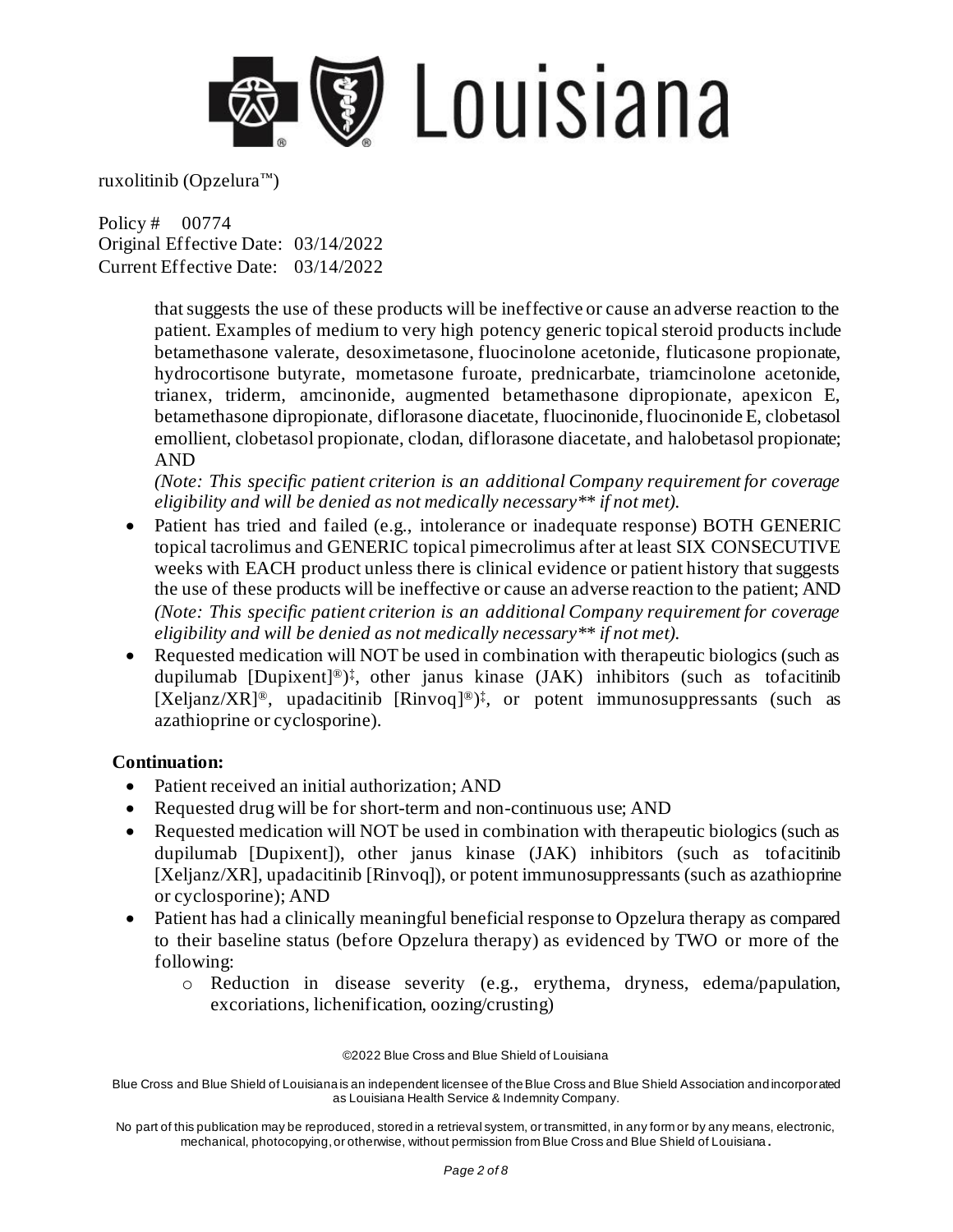

Policy # 00774 Original Effective Date: 03/14/2022 Current Effective Date: 03/14/2022

> that suggests the use of these products will be ineffective or cause an adverse reaction to the patient. Examples of medium to very high potency generic topical steroid products include betamethasone valerate, desoximetasone, fluocinolone acetonide, fluticasone propionate, hydrocortisone butyrate, mometasone furoate, prednicarbate, triamcinolone acetonide, trianex, triderm, amcinonide, augmented betamethasone dipropionate, apexicon E, betamethasone dipropionate, diflorasone diacetate, fluocinonide, fluocinonide E, clobetasol emollient, clobetasol propionate, clodan, diflorasone diacetate, and halobetasol propionate; AND

> *(Note: This specific patient criterion is an additional Company requirement for coverage eligibility and will be denied as not medically necessary\*\* if not met).*

- Patient has tried and failed (e.g., intolerance or inadequate response) BOTH GENERIC topical tacrolimus and GENERIC topical pimecrolimus after at least SIX CONSECUTIVE weeks with EACH product unless there is clinical evidence or patient history that suggests the use of these products will be ineffective or cause an adverse reaction to the patient; AND *(Note: This specific patient criterion is an additional Company requirement for coverage eligibility and will be denied as not medically necessary\*\* if not met).*
- Requested medication will NOT be used in combination with therapeutic biologics (such as dupilumab [Dupixent] ®) ‡ , other janus kinase (JAK) inhibitors (such as tofacitinib [Xeljanz/XR]<sup>®</sup>, upadacitinib [Rinvoq]<sup>®</sup>)<sup>‡</sup>, or potent immunosuppressants (such as azathioprine or cyclosporine).

#### **Continuation:**

- Patient received an initial authorization; AND
- Requested drug will be for short-term and non-continuous use; AND
- Requested medication will NOT be used in combination with therapeutic biologics (such as dupilumab [Dupixent]), other janus kinase (JAK) inhibitors (such as tofacitinib [Xeljanz/XR], upadacitinib [Rinvoq]), or potent immunosuppressants (such as azathioprine or cyclosporine); AND
- Patient has had a clinically meaningful beneficial response to Opzelura therapy as compared to their baseline status (before Opzelura therapy) as evidenced by TWO or more of the following:
	- o Reduction in disease severity (e.g., erythema, dryness, edema/papulation, excoriations, lichenification, oozing/crusting)

©2022 Blue Cross and Blue Shield of Louisiana

Blue Cross and Blue Shield of Louisiana is an independent licensee of the Blue Cross and Blue Shield Association and incorporated as Louisiana Health Service & Indemnity Company.

No part of this publication may be reproduced, stored in a retrieval system, or transmitted, in any form or by any means, electronic, mechanical, photocopying, or otherwise, without permission from Blue Cross and Blue Shield of Louisiana **.**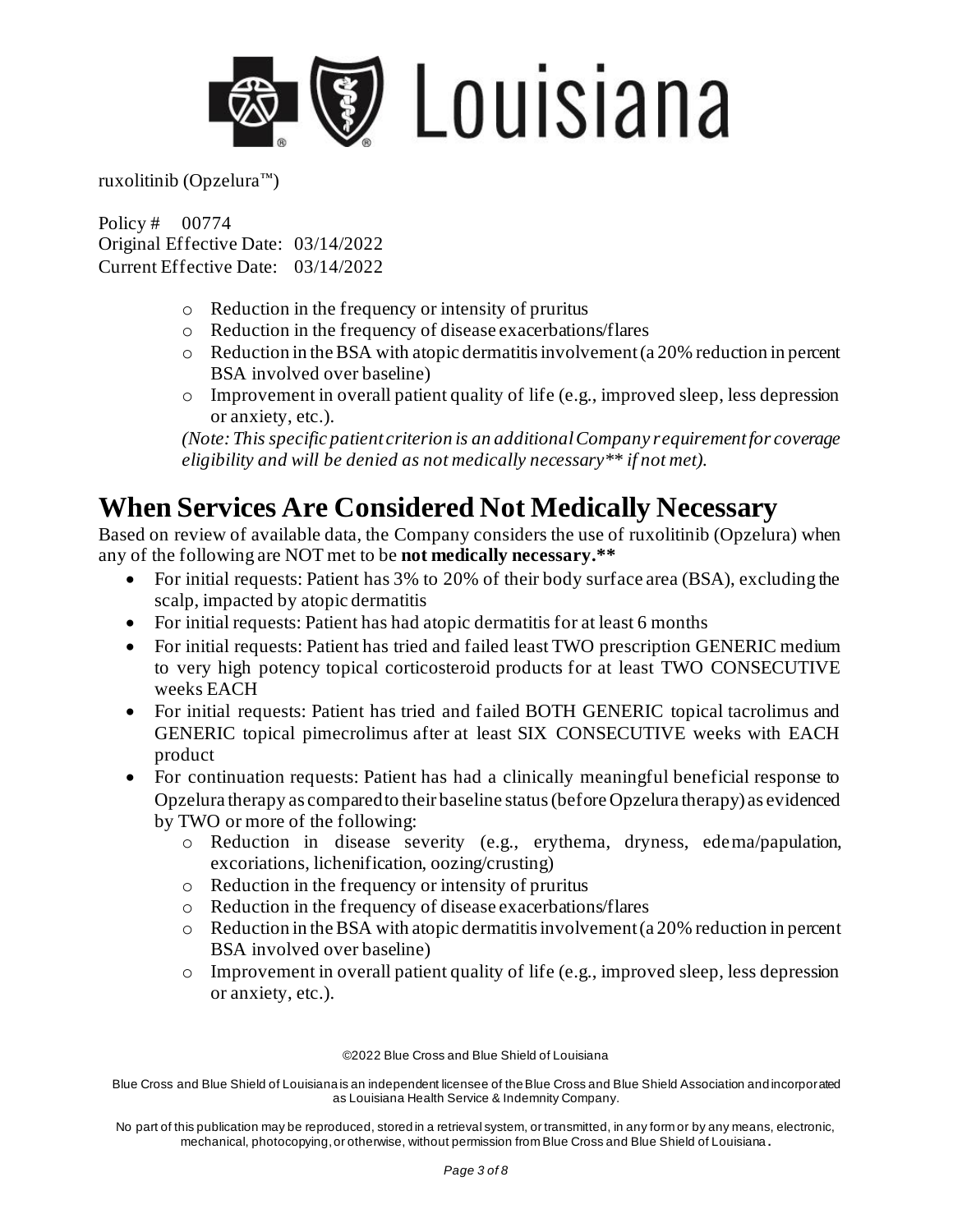

Policy # 00774 Original Effective Date: 03/14/2022 Current Effective Date: 03/14/2022

- o Reduction in the frequency or intensity of pruritus
- o Reduction in the frequency of disease exacerbations/flares
- $\circ$  Reduction in the BSA with atopic dermatitis involvement (a 20% reduction in percent BSA involved over baseline)
- o Improvement in overall patient quality of life (e.g., improved sleep, less depression or anxiety, etc.).

*(Note: This specific patient criterion is an additional Company requirement for coverage eligibility and will be denied as not medically necessary\*\* if not met).*

### **When Services Are Considered Not Medically Necessary**

Based on review of available data, the Company considers the use of ruxolitinib (Opzelura) when any of the following are NOT met to be **not medically necessary.\*\***

- For initial requests: Patient has 3% to 20% of their body surface area (BSA), excluding the scalp, impacted by atopic dermatitis
- For initial requests: Patient has had atopic dermatitis for at least 6 months
- For initial requests: Patient has tried and failed least TWO prescription GENERIC medium to very high potency topical corticosteroid products for at least TWO CONSECUTIVE weeks EACH
- For initial requests: Patient has tried and failed BOTH GENERIC topical tacrolimus and GENERIC topical pimecrolimus after at least SIX CONSECUTIVE weeks with EACH product
- For continuation requests: Patient has had a clinically meaningful beneficial response to Opzelura therapy as compared to their baseline status (before Opzelura therapy) as evidenced by TWO or more of the following:
	- o Reduction in disease severity (e.g., erythema, dryness, edema/papulation, excoriations, lichenification, oozing/crusting)
	- o Reduction in the frequency or intensity of pruritus
	- o Reduction in the frequency of disease exacerbations/flares
	- o Reduction in the BSA with atopic dermatitis involvement (a 20% reduction in percent BSA involved over baseline)
	- o Improvement in overall patient quality of life (e.g., improved sleep, less depression or anxiety, etc.).

©2022 Blue Cross and Blue Shield of Louisiana

Blue Cross and Blue Shield of Louisiana is an independent licensee of the Blue Cross and Blue Shield Association and incorporated as Louisiana Health Service & Indemnity Company.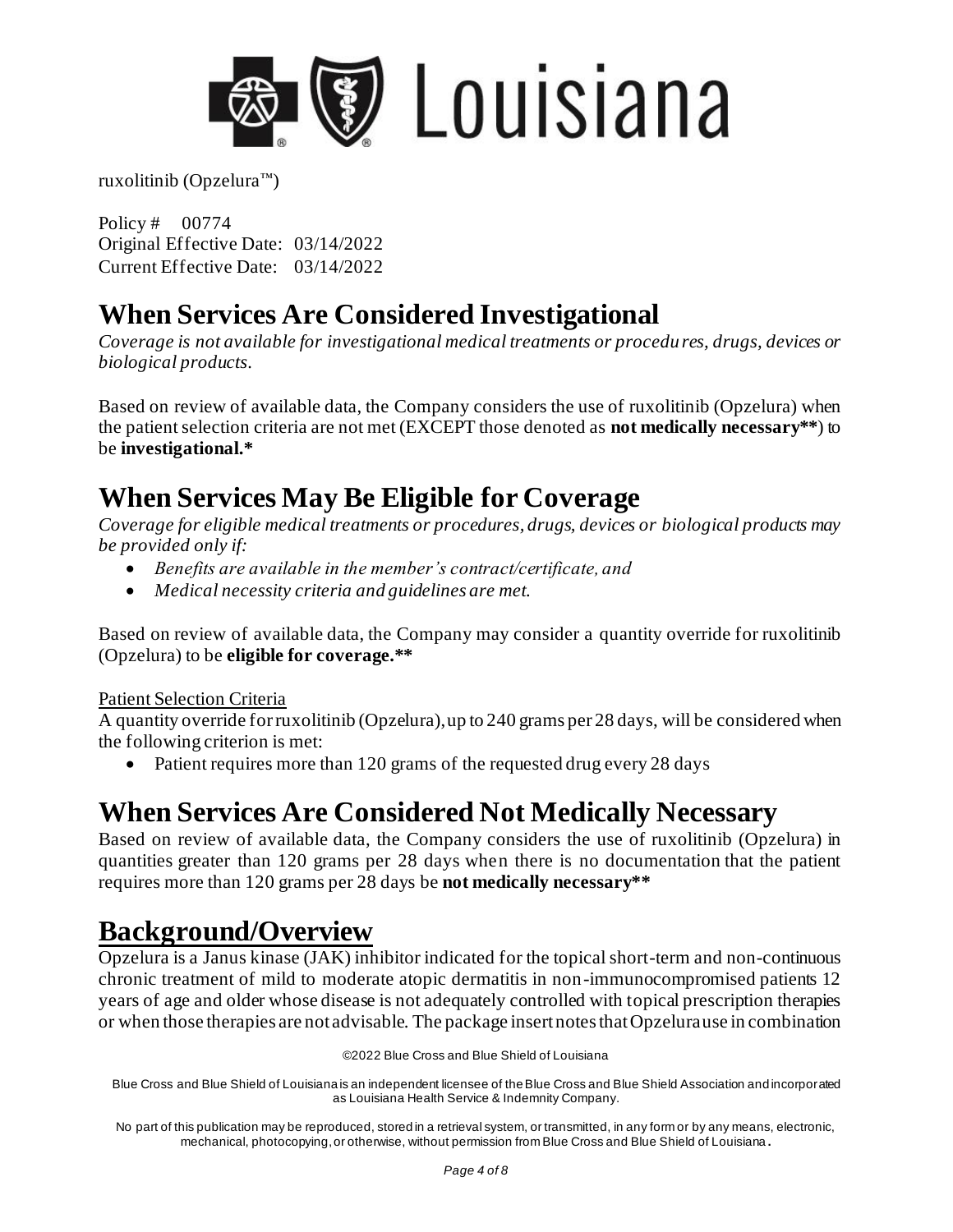

Policy # 00774 Original Effective Date: 03/14/2022 Current Effective Date: 03/14/2022

## **When Services Are Considered Investigational**

*Coverage is not available for investigational medical treatments or procedures, drugs, devices or biological products.*

Based on review of available data, the Company considers the use of ruxolitinib (Opzelura) when the patient selection criteria are not met (EXCEPT those denoted as **not medically necessary\*\***) to be **investigational.\***

# **When Services May Be Eligible for Coverage**

*Coverage for eligible medical treatments or procedures, drugs, devices or biological products may be provided only if:*

- *Benefits are available in the member's contract/certificate, and*
- *Medical necessity criteria and guidelines are met.*

Based on review of available data, the Company may consider a quantity override for ruxolitinib (Opzelura) to be **eligible for coverage.\*\***

#### Patient Selection Criteria

A quantity override for ruxolitinib (Opzelura), up to 240 grams per 28 days, will be considered when the following criterion is met:

• Patient requires more than 120 grams of the requested drug every 28 days

# **When Services Are Considered Not Medically Necessary**

Based on review of available data, the Company considers the use of ruxolitinib (Opzelura) in quantities greater than 120 grams per 28 days when there is no documentation that the patient requires more than 120 grams per 28 days be **not medically necessary\*\***

## **Background/Overview**

Opzelura is a Janus kinase (JAK) inhibitor indicated for the topical short-term and non-continuous chronic treatment of mild to moderate atopic dermatitis in non-immunocompromised patients 12 years of age and older whose disease is not adequately controlled with topical prescription therapies or when those therapies are not advisable. The package insert notes that Opzelura use in combination

©2022 Blue Cross and Blue Shield of Louisiana

Blue Cross and Blue Shield of Louisiana is an independent licensee of the Blue Cross and Blue Shield Association and incorporated as Louisiana Health Service & Indemnity Company.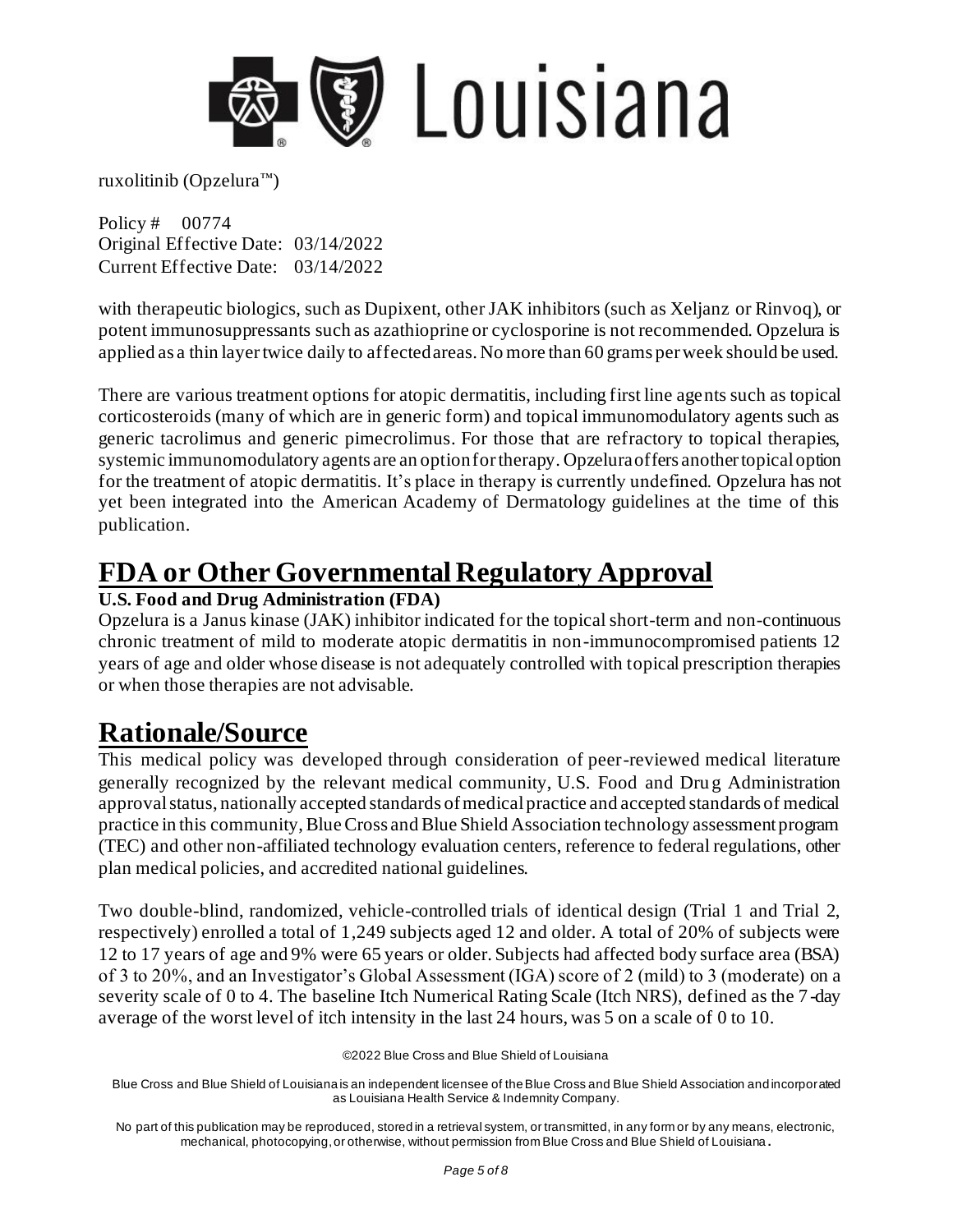

Policy # 00774 Original Effective Date: 03/14/2022 Current Effective Date: 03/14/2022

with therapeutic biologics, such as Dupixent, other JAK inhibitors (such as Xeljanz or Rinvoq), or potent immunosuppressants such as azathioprine or cyclosporine is not recommended. Opzelura is applied as a thin layer twice daily to affected areas. No more than 60 grams per week should be used.

There are various treatment options for atopic dermatitis, including first line agents such as topical corticosteroids (many of which are in generic form) and topical immunomodulatory agents such as generic tacrolimus and generic pimecrolimus. For those that are refractory to topical therapies, systemic immunomodulatory agents are an option for therapy. Opzelura offers another topical option for the treatment of atopic dermatitis. It's place in therapy is currently undefined. Opzelura has not yet been integrated into the American Academy of Dermatology guidelines at the time of this publication.

### **FDA or Other Governmental Regulatory Approval**

#### **U.S. Food and Drug Administration (FDA)**

Opzelura is a Janus kinase (JAK) inhibitor indicated for the topical short-term and non-continuous chronic treatment of mild to moderate atopic dermatitis in non-immunocompromised patients 12 years of age and older whose disease is not adequately controlled with topical prescription therapies or when those therapies are not advisable.

## **Rationale/Source**

This medical policy was developed through consideration of peer-reviewed medical literature generally recognized by the relevant medical community, U.S. Food and Dru g Administration approval status, nationally accepted standards of medical practice and accepted standards of medical practice in this community, Blue Cross and Blue Shield Association technology assessment program (TEC) and other non-affiliated technology evaluation centers, reference to federal regulations, other plan medical policies, and accredited national guidelines.

Two double-blind, randomized, vehicle-controlled trials of identical design (Trial 1 and Trial 2, respectively) enrolled a total of 1,249 subjects aged 12 and older. A total of 20% of subjects were 12 to 17 years of age and 9% were 65 years or older. Subjects had affected body surface area (BSA) of 3 to 20%, and an Investigator's Global Assessment (IGA) score of 2 (mild) to 3 (moderate) on a severity scale of 0 to 4. The baseline Itch Numerical Rating Scale (Itch NRS), defined as the 7 -day average of the worst level of itch intensity in the last 24 hours, was 5 on a scale of 0 to 10.

©2022 Blue Cross and Blue Shield of Louisiana

Blue Cross and Blue Shield of Louisiana is an independent licensee of the Blue Cross and Blue Shield Association and incorporated as Louisiana Health Service & Indemnity Company.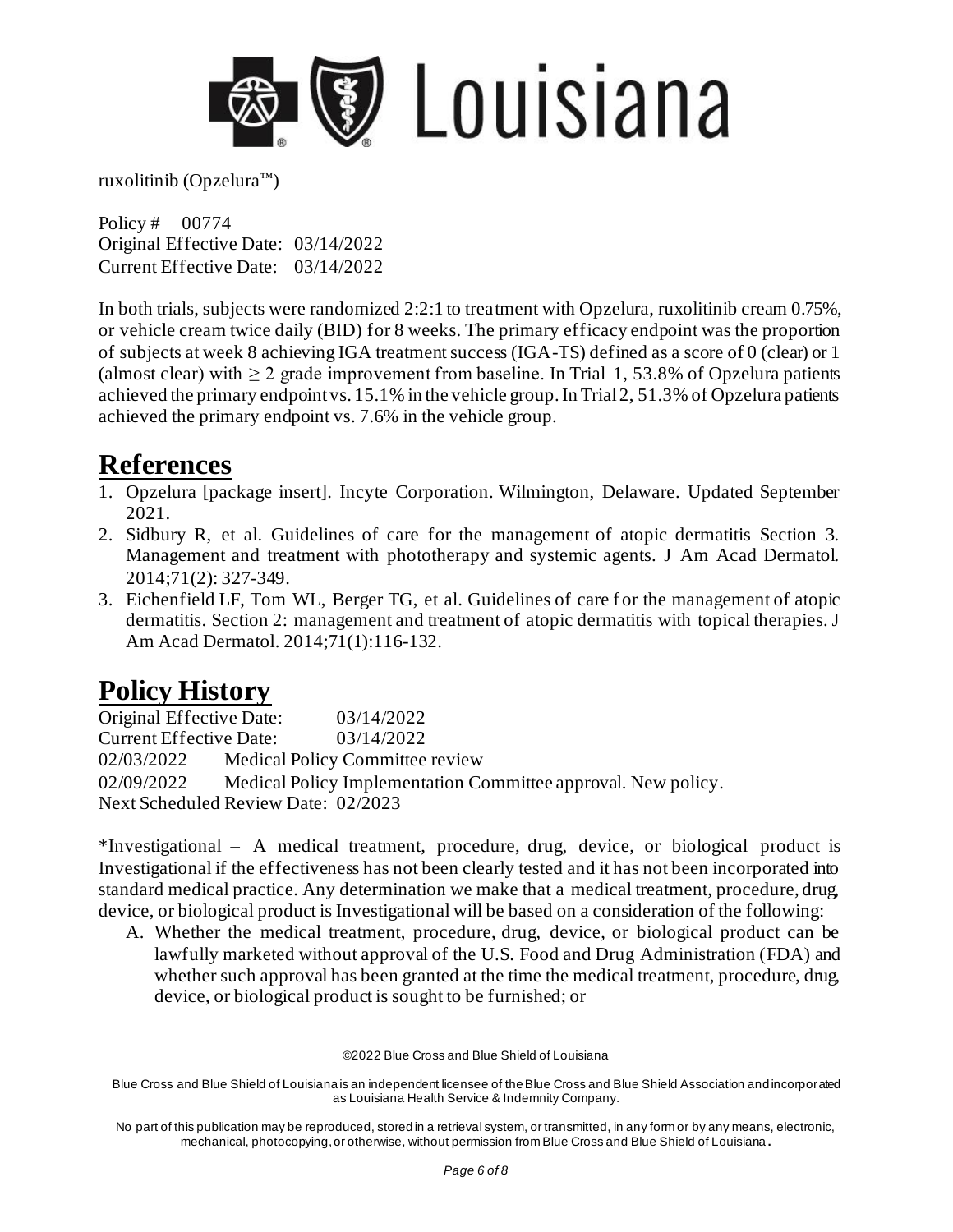

Policy # 00774 Original Effective Date: 03/14/2022 Current Effective Date: 03/14/2022

In both trials, subjects were randomized 2:2:1 to treatment with Opzelura, ruxolitinib cream 0.75%, or vehicle cream twice daily (BID) for 8 weeks. The primary efficacy endpoint was the proportion of subjects at week 8 achieving IGA treatment success (IGA-TS) defined as a score of 0 (clear) or 1 (almost clear) with  $\geq 2$  grade improvement from baseline. In Trial 1, 53.8% of Opzelura patients achieved the primary endpoint vs. 15.1% in the vehicle group. In Trial 2, 51.3% of Opzelura patients achieved the primary endpoint vs. 7.6% in the vehicle group.

### **References**

- 1. Opzelura [package insert]. Incyte Corporation. Wilmington, Delaware. Updated September 2021.
- 2. Sidbury R, et al. Guidelines of care for the management of atopic dermatitis Section 3. Management and treatment with phototherapy and systemic agents. J Am Acad Dermatol. 2014;71(2): 327-349.
- 3. Eichenfield LF, Tom WL, Berger TG, et al. Guidelines of care for the management of atopic dermatitis. Section 2: management and treatment of atopic dermatitis with topical therapies. J Am Acad Dermatol. 2014;71(1):116-132.

## **Policy History**

| Original Effective Date:            | 03/14/2022                                                    |
|-------------------------------------|---------------------------------------------------------------|
| <b>Current Effective Date:</b>      | 03/14/2022                                                    |
| 02/03/2022                          | Medical Policy Committee review                               |
| 02/09/2022                          | Medical Policy Implementation Committee approval. New policy. |
| Next Scheduled Review Date: 02/2023 |                                                               |

\*Investigational – A medical treatment, procedure, drug, device, or biological product is Investigational if the effectiveness has not been clearly tested and it has not been incorporated into standard medical practice. Any determination we make that a medical treatment, procedure, drug, device, or biological product is Investigational will be based on a consideration of the following:

A. Whether the medical treatment, procedure, drug, device, or biological product can be lawfully marketed without approval of the U.S. Food and Drug Administration (FDA) and whether such approval has been granted at the time the medical treatment, procedure, drug, device, or biological product is sought to be furnished; or

©2022 Blue Cross and Blue Shield of Louisiana

Blue Cross and Blue Shield of Louisiana is an independent licensee of the Blue Cross and Blue Shield Association and incorporated as Louisiana Health Service & Indemnity Company.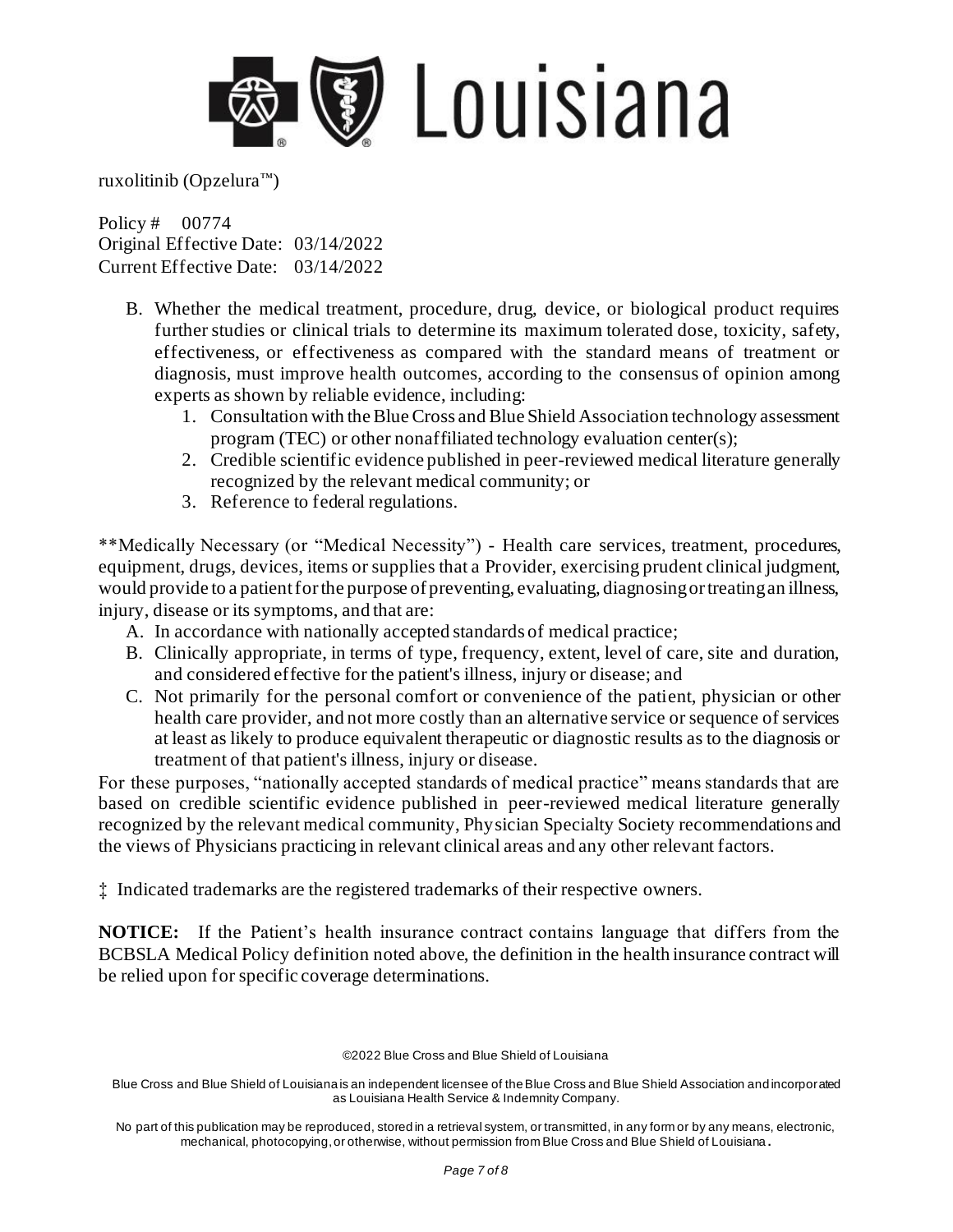

Policy # 00774 Original Effective Date: 03/14/2022 Current Effective Date: 03/14/2022

- B. Whether the medical treatment, procedure, drug, device, or biological product requires further studies or clinical trials to determine its maximum tolerated dose, toxicity, safety, effectiveness, or effectiveness as compared with the standard means of treatment or diagnosis, must improve health outcomes, according to the consensus of opinion among experts as shown by reliable evidence, including:
	- 1. Consultation with the Blue Cross and Blue Shield Association technology assessment program (TEC) or other nonaffiliated technology evaluation center(s);
	- 2. Credible scientific evidence published in peer-reviewed medical literature generally recognized by the relevant medical community; or
	- 3. Reference to federal regulations.

\*\*Medically Necessary (or "Medical Necessity") - Health care services, treatment, procedures, equipment, drugs, devices, items or supplies that a Provider, exercising prudent clinical judgment, would provide to a patient for the purpose of preventing, evaluating, diagnosing or treating an illness, injury, disease or its symptoms, and that are:

- A. In accordance with nationally accepted standards of medical practice;
- B. Clinically appropriate, in terms of type, frequency, extent, level of care, site and duration, and considered effective for the patient's illness, injury or disease; and
- C. Not primarily for the personal comfort or convenience of the patient, physician or other health care provider, and not more costly than an alternative service or sequence of services at least as likely to produce equivalent therapeutic or diagnostic results as to the diagnosis or treatment of that patient's illness, injury or disease.

For these purposes, "nationally accepted standards of medical practice" means standards that are based on credible scientific evidence published in peer-reviewed medical literature generally recognized by the relevant medical community, Physician Specialty Society recommendations and the views of Physicians practicing in relevant clinical areas and any other relevant factors.

‡ Indicated trademarks are the registered trademarks of their respective owners.

**NOTICE:** If the Patient's health insurance contract contains language that differs from the BCBSLA Medical Policy definition noted above, the definition in the health insurance contract will be relied upon for specific coverage determinations.

©2022 Blue Cross and Blue Shield of Louisiana

Blue Cross and Blue Shield of Louisiana is an independent licensee of the Blue Cross and Blue Shield Association and incorporated as Louisiana Health Service & Indemnity Company.